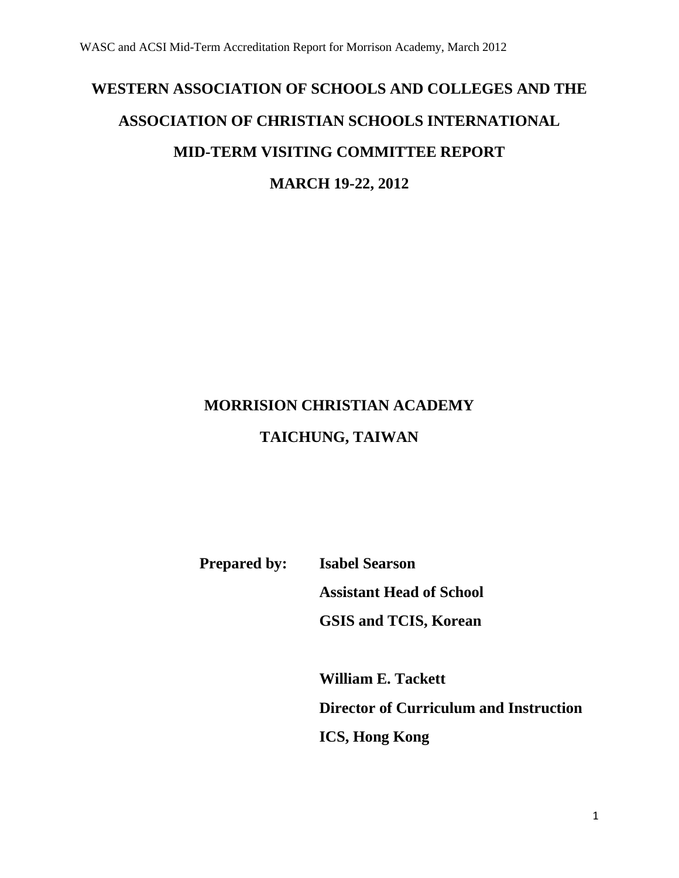# **WESTERN ASSOCIATION OF SCHOOLS AND COLLEGES AND THE ASSOCIATION OF CHRISTIAN SCHOOLS INTERNATIONAL MID-TERM VISITING COMMITTEE REPORT MARCH 19-22, 2012**

# **MORRISION CHRISTIAN ACADEMY**

# **TAICHUNG, TAIWAN**

**Prepared by: Isabel Searson**

**Assistant Head of School**

**GSIS and TCIS, Korean**

**William E. Tackett Director of Curriculum and Instruction ICS, Hong Kong**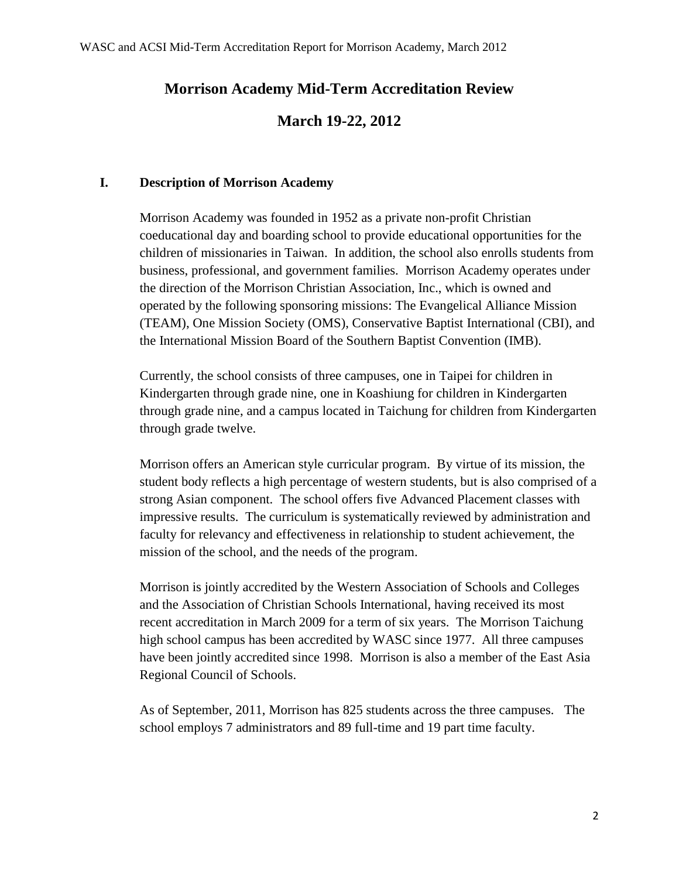# **Morrison Academy Mid-Term Accreditation Review**

# **March 19-22, 2012**

## **I. Description of Morrison Academy**

Morrison Academy was founded in 1952 as a private non-profit Christian coeducational day and boarding school to provide educational opportunities for the children of missionaries in Taiwan. In addition, the school also enrolls students from business, professional, and government families. Morrison Academy operates under the direction of the Morrison Christian Association, Inc., which is owned and operated by the following sponsoring missions: The Evangelical Alliance Mission (TEAM), One Mission Society (OMS), Conservative Baptist International (CBI), and the International Mission Board of the Southern Baptist Convention (IMB).

Currently, the school consists of three campuses, one in Taipei for children in Kindergarten through grade nine, one in Koashiung for children in Kindergarten through grade nine, and a campus located in Taichung for children from Kindergarten through grade twelve.

Morrison offers an American style curricular program. By virtue of its mission, the student body reflects a high percentage of western students, but is also comprised of a strong Asian component. The school offers five Advanced Placement classes with impressive results. The curriculum is systematically reviewed by administration and faculty for relevancy and effectiveness in relationship to student achievement, the mission of the school, and the needs of the program.

Morrison is jointly accredited by the Western Association of Schools and Colleges and the Association of Christian Schools International, having received its most recent accreditation in March 2009 for a term of six years. The Morrison Taichung high school campus has been accredited by WASC since 1977. All three campuses have been jointly accredited since 1998. Morrison is also a member of the East Asia Regional Council of Schools.

As of September, 2011, Morrison has 825 students across the three campuses. The school employs 7 administrators and 89 full-time and 19 part time faculty.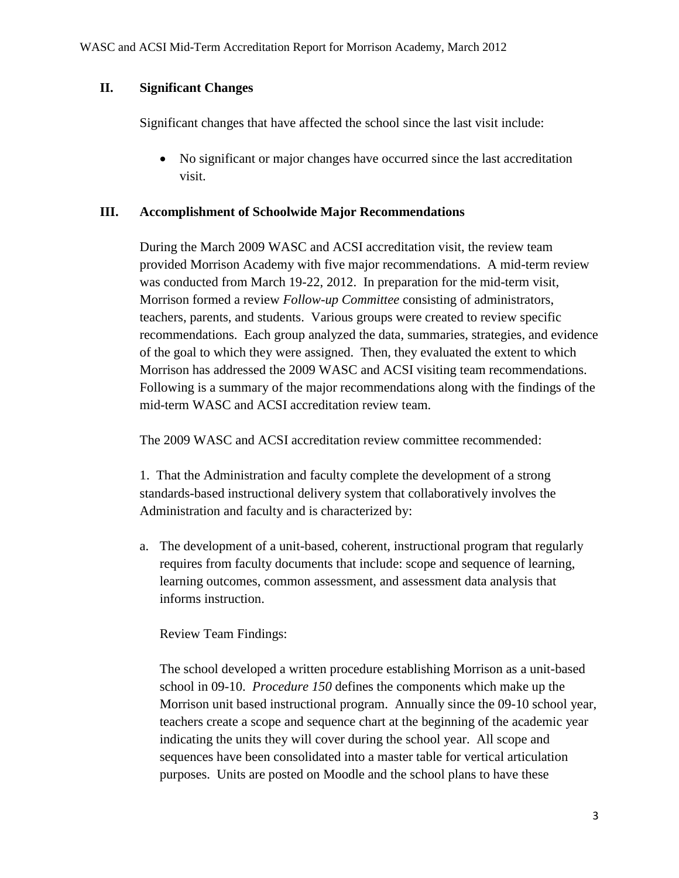## **II. Significant Changes**

Significant changes that have affected the school since the last visit include:

 No significant or major changes have occurred since the last accreditation visit.

## **III. Accomplishment of Schoolwide Major Recommendations**

During the March 2009 WASC and ACSI accreditation visit, the review team provided Morrison Academy with five major recommendations. A mid-term review was conducted from March 19-22, 2012. In preparation for the mid-term visit, Morrison formed a review *Follow-up Committee* consisting of administrators, teachers, parents, and students. Various groups were created to review specific recommendations. Each group analyzed the data, summaries, strategies, and evidence of the goal to which they were assigned. Then, they evaluated the extent to which Morrison has addressed the 2009 WASC and ACSI visiting team recommendations. Following is a summary of the major recommendations along with the findings of the mid-term WASC and ACSI accreditation review team.

The 2009 WASC and ACSI accreditation review committee recommended:

1. That the Administration and faculty complete the development of a strong standards-based instructional delivery system that collaboratively involves the Administration and faculty and is characterized by:

a. The development of a unit-based, coherent, instructional program that regularly requires from faculty documents that include: scope and sequence of learning, learning outcomes, common assessment, and assessment data analysis that informs instruction.

Review Team Findings:

The school developed a written procedure establishing Morrison as a unit-based school in 09-10. *Procedure 150* defines the components which make up the Morrison unit based instructional program. Annually since the 09-10 school year, teachers create a scope and sequence chart at the beginning of the academic year indicating the units they will cover during the school year. All scope and sequences have been consolidated into a master table for vertical articulation purposes. Units are posted on Moodle and the school plans to have these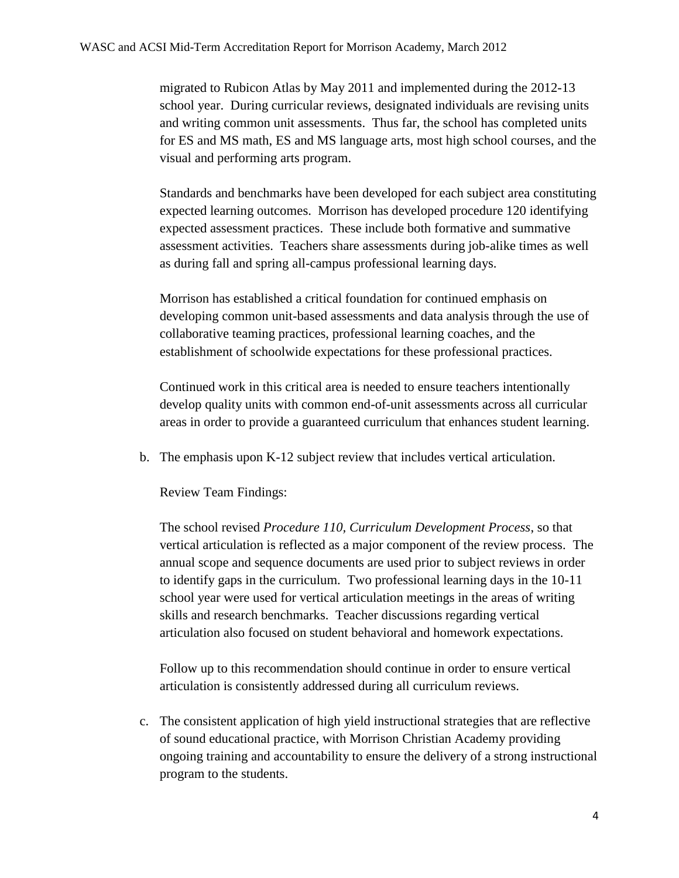migrated to Rubicon Atlas by May 2011 and implemented during the 2012-13 school year. During curricular reviews, designated individuals are revising units and writing common unit assessments. Thus far, the school has completed units for ES and MS math, ES and MS language arts, most high school courses, and the visual and performing arts program.

Standards and benchmarks have been developed for each subject area constituting expected learning outcomes. Morrison has developed procedure 120 identifying expected assessment practices. These include both formative and summative assessment activities. Teachers share assessments during job-alike times as well as during fall and spring all-campus professional learning days.

Morrison has established a critical foundation for continued emphasis on developing common unit-based assessments and data analysis through the use of collaborative teaming practices, professional learning coaches, and the establishment of schoolwide expectations for these professional practices.

Continued work in this critical area is needed to ensure teachers intentionally develop quality units with common end-of-unit assessments across all curricular areas in order to provide a guaranteed curriculum that enhances student learning.

b. The emphasis upon K-12 subject review that includes vertical articulation.

Review Team Findings:

The school revised *Procedure 110, Curriculum Development Process*, so that vertical articulation is reflected as a major component of the review process. The annual scope and sequence documents are used prior to subject reviews in order to identify gaps in the curriculum. Two professional learning days in the 10-11 school year were used for vertical articulation meetings in the areas of writing skills and research benchmarks. Teacher discussions regarding vertical articulation also focused on student behavioral and homework expectations.

Follow up to this recommendation should continue in order to ensure vertical articulation is consistently addressed during all curriculum reviews.

c. The consistent application of high yield instructional strategies that are reflective of sound educational practice, with Morrison Christian Academy providing ongoing training and accountability to ensure the delivery of a strong instructional program to the students.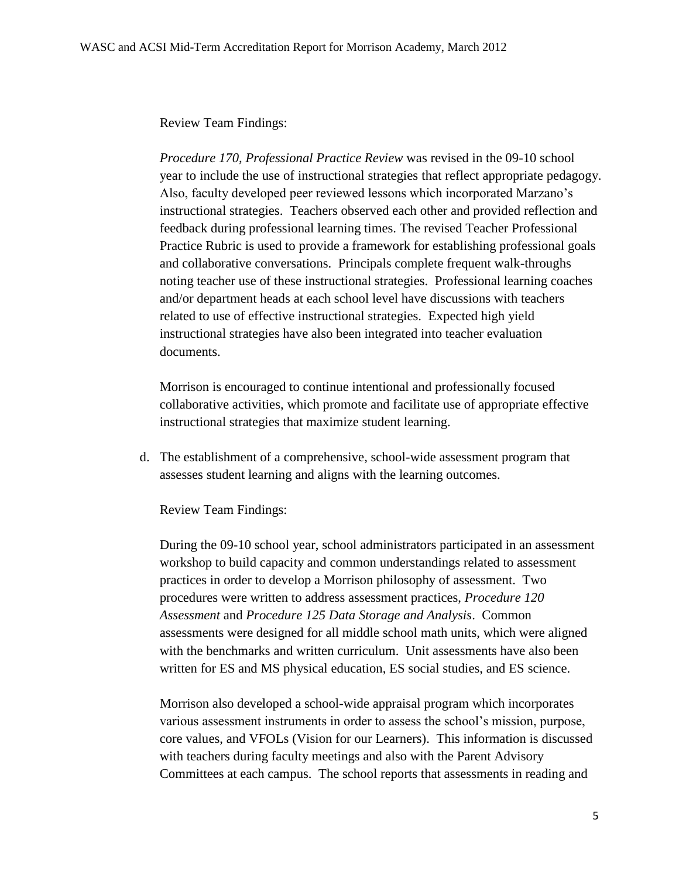## Review Team Findings:

*Procedure 170, Professional Practice Review* was revised in the 09-10 school year to include the use of instructional strategies that reflect appropriate pedagogy. Also, faculty developed peer reviewed lessons which incorporated Marzano's instructional strategies. Teachers observed each other and provided reflection and feedback during professional learning times. The revised Teacher Professional Practice Rubric is used to provide a framework for establishing professional goals and collaborative conversations. Principals complete frequent walk-throughs noting teacher use of these instructional strategies. Professional learning coaches and/or department heads at each school level have discussions with teachers related to use of effective instructional strategies. Expected high yield instructional strategies have also been integrated into teacher evaluation documents.

Morrison is encouraged to continue intentional and professionally focused collaborative activities, which promote and facilitate use of appropriate effective instructional strategies that maximize student learning.

d. The establishment of a comprehensive, school-wide assessment program that assesses student learning and aligns with the learning outcomes.

Review Team Findings:

During the 09-10 school year, school administrators participated in an assessment workshop to build capacity and common understandings related to assessment practices in order to develop a Morrison philosophy of assessment. Two procedures were written to address assessment practices, *Procedure 120 Assessment* and *Procedure 125 Data Storage and Analysis*. Common assessments were designed for all middle school math units, which were aligned with the benchmarks and written curriculum. Unit assessments have also been written for ES and MS physical education, ES social studies, and ES science.

Morrison also developed a school-wide appraisal program which incorporates various assessment instruments in order to assess the school's mission, purpose, core values, and VFOLs (Vision for our Learners). This information is discussed with teachers during faculty meetings and also with the Parent Advisory Committees at each campus. The school reports that assessments in reading and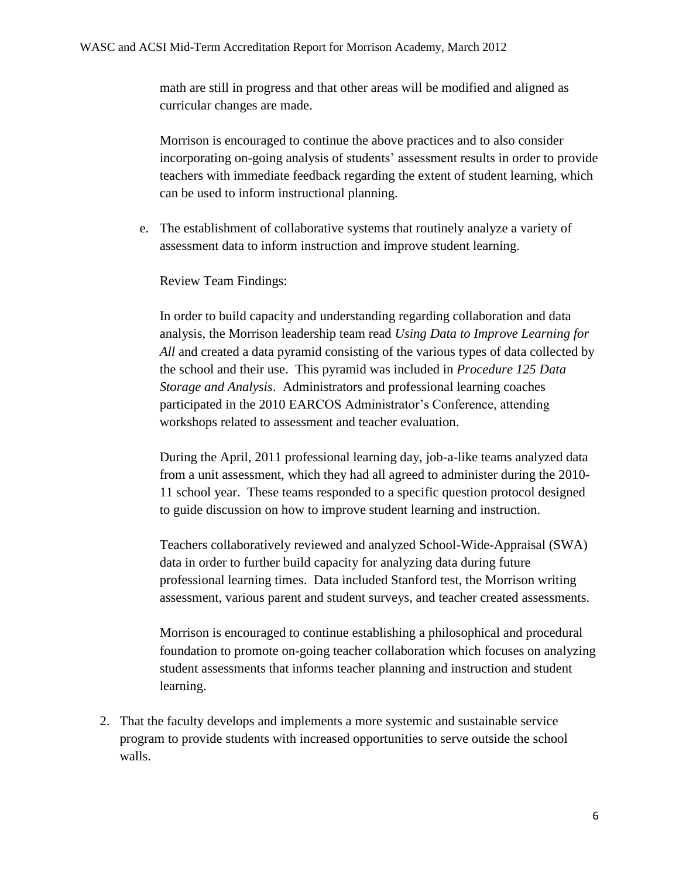math are still in progress and that other areas will be modified and aligned as curricular changes are made.

Morrison is encouraged to continue the above practices and to also consider incorporating on-going analysis of students' assessment results in order to provide teachers with immediate feedback regarding the extent of student learning, which can be used to inform instructional planning.

e. The establishment of collaborative systems that routinely analyze a variety of assessment data to inform instruction and improve student learning.

Review Team Findings:

In order to build capacity and understanding regarding collaboration and data analysis, the Morrison leadership team read *Using Data to Improve Learning for All* and created a data pyramid consisting of the various types of data collected by the school and their use. This pyramid was included in *Procedure 125 Data Storage and Analysis*. Administrators and professional learning coaches participated in the 2010 EARCOS Administrator's Conference, attending workshops related to assessment and teacher evaluation.

During the April, 2011 professional learning day, job-a-like teams analyzed data from a unit assessment, which they had all agreed to administer during the 2010- 11 school year. These teams responded to a specific question protocol designed to guide discussion on how to improve student learning and instruction.

Teachers collaboratively reviewed and analyzed School-Wide-Appraisal (SWA) data in order to further build capacity for analyzing data during future professional learning times. Data included Stanford test, the Morrison writing assessment, various parent and student surveys, and teacher created assessments.

Morrison is encouraged to continue establishing a philosophical and procedural foundation to promote on-going teacher collaboration which focuses on analyzing student assessments that informs teacher planning and instruction and student learning.

2. That the faculty develops and implements a more systemic and sustainable service program to provide students with increased opportunities to serve outside the school walls.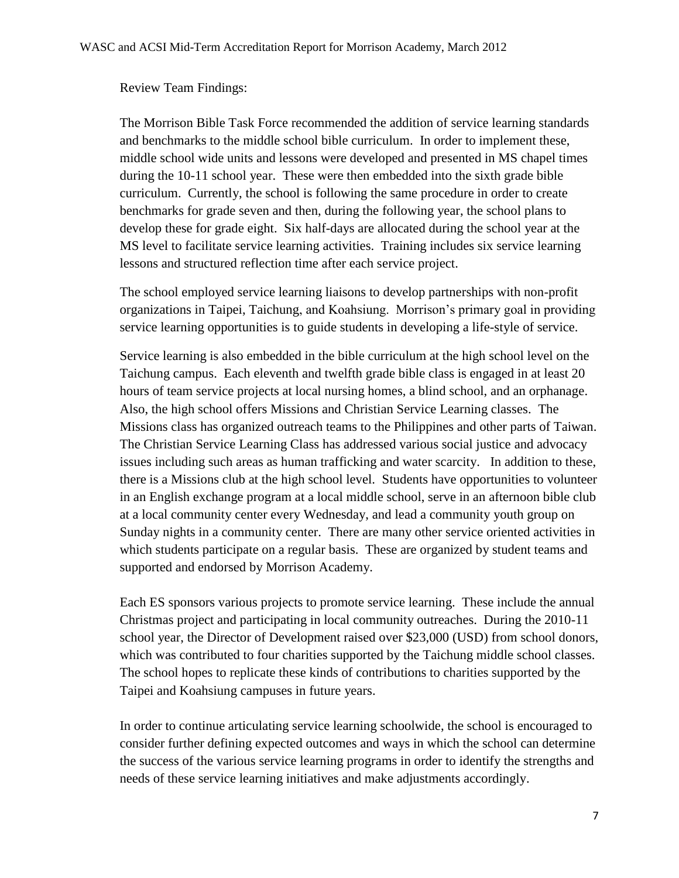#### Review Team Findings:

The Morrison Bible Task Force recommended the addition of service learning standards and benchmarks to the middle school bible curriculum. In order to implement these, middle school wide units and lessons were developed and presented in MS chapel times during the 10-11 school year. These were then embedded into the sixth grade bible curriculum. Currently, the school is following the same procedure in order to create benchmarks for grade seven and then, during the following year, the school plans to develop these for grade eight. Six half-days are allocated during the school year at the MS level to facilitate service learning activities. Training includes six service learning lessons and structured reflection time after each service project.

The school employed service learning liaisons to develop partnerships with non-profit organizations in Taipei, Taichung, and Koahsiung. Morrison's primary goal in providing service learning opportunities is to guide students in developing a life-style of service.

Service learning is also embedded in the bible curriculum at the high school level on the Taichung campus. Each eleventh and twelfth grade bible class is engaged in at least 20 hours of team service projects at local nursing homes, a blind school, and an orphanage. Also, the high school offers Missions and Christian Service Learning classes. The Missions class has organized outreach teams to the Philippines and other parts of Taiwan. The Christian Service Learning Class has addressed various social justice and advocacy issues including such areas as human trafficking and water scarcity. In addition to these, there is a Missions club at the high school level. Students have opportunities to volunteer in an English exchange program at a local middle school, serve in an afternoon bible club at a local community center every Wednesday, and lead a community youth group on Sunday nights in a community center. There are many other service oriented activities in which students participate on a regular basis. These are organized by student teams and supported and endorsed by Morrison Academy.

Each ES sponsors various projects to promote service learning. These include the annual Christmas project and participating in local community outreaches. During the 2010-11 school year, the Director of Development raised over \$23,000 (USD) from school donors, which was contributed to four charities supported by the Taichung middle school classes. The school hopes to replicate these kinds of contributions to charities supported by the Taipei and Koahsiung campuses in future years.

In order to continue articulating service learning schoolwide, the school is encouraged to consider further defining expected outcomes and ways in which the school can determine the success of the various service learning programs in order to identify the strengths and needs of these service learning initiatives and make adjustments accordingly.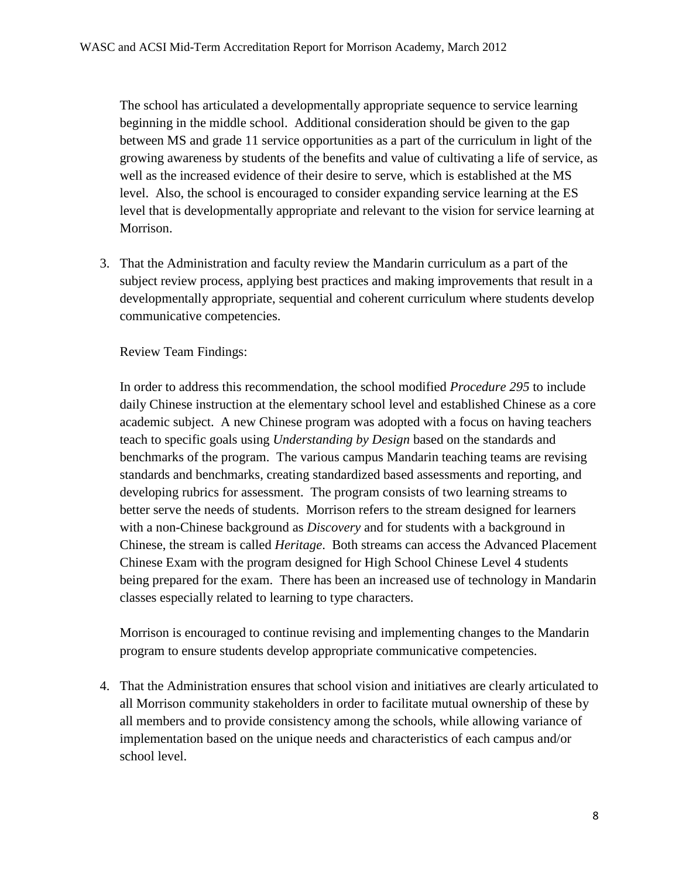The school has articulated a developmentally appropriate sequence to service learning beginning in the middle school. Additional consideration should be given to the gap between MS and grade 11 service opportunities as a part of the curriculum in light of the growing awareness by students of the benefits and value of cultivating a life of service, as well as the increased evidence of their desire to serve, which is established at the MS level. Also, the school is encouraged to consider expanding service learning at the ES level that is developmentally appropriate and relevant to the vision for service learning at Morrison.

3. That the Administration and faculty review the Mandarin curriculum as a part of the subject review process, applying best practices and making improvements that result in a developmentally appropriate, sequential and coherent curriculum where students develop communicative competencies.

Review Team Findings:

In order to address this recommendation, the school modified *Procedure 295* to include daily Chinese instruction at the elementary school level and established Chinese as a core academic subject. A new Chinese program was adopted with a focus on having teachers teach to specific goals using *Understanding by Design* based on the standards and benchmarks of the program. The various campus Mandarin teaching teams are revising standards and benchmarks, creating standardized based assessments and reporting, and developing rubrics for assessment. The program consists of two learning streams to better serve the needs of students. Morrison refers to the stream designed for learners with a non-Chinese background as *Discovery* and for students with a background in Chinese, the stream is called *Heritage*. Both streams can access the Advanced Placement Chinese Exam with the program designed for High School Chinese Level 4 students being prepared for the exam. There has been an increased use of technology in Mandarin classes especially related to learning to type characters.

Morrison is encouraged to continue revising and implementing changes to the Mandarin program to ensure students develop appropriate communicative competencies.

4. That the Administration ensures that school vision and initiatives are clearly articulated to all Morrison community stakeholders in order to facilitate mutual ownership of these by all members and to provide consistency among the schools, while allowing variance of implementation based on the unique needs and characteristics of each campus and/or school level.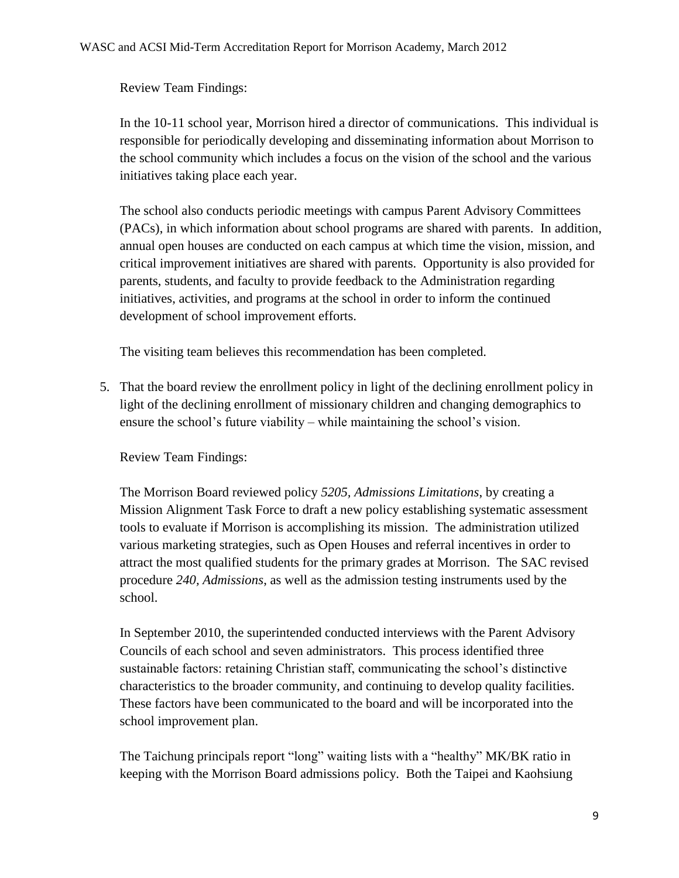Review Team Findings:

In the 10-11 school year, Morrison hired a director of communications. This individual is responsible for periodically developing and disseminating information about Morrison to the school community which includes a focus on the vision of the school and the various initiatives taking place each year.

The school also conducts periodic meetings with campus Parent Advisory Committees (PACs), in which information about school programs are shared with parents. In addition, annual open houses are conducted on each campus at which time the vision, mission, and critical improvement initiatives are shared with parents. Opportunity is also provided for parents, students, and faculty to provide feedback to the Administration regarding initiatives, activities, and programs at the school in order to inform the continued development of school improvement efforts.

The visiting team believes this recommendation has been completed.

5. That the board review the enrollment policy in light of the declining enrollment policy in light of the declining enrollment of missionary children and changing demographics to ensure the school's future viability – while maintaining the school's vision.

Review Team Findings:

The Morrison Board reviewed policy *5205, Admissions Limitations*, by creating a Mission Alignment Task Force to draft a new policy establishing systematic assessment tools to evaluate if Morrison is accomplishing its mission. The administration utilized various marketing strategies, such as Open Houses and referral incentives in order to attract the most qualified students for the primary grades at Morrison. The SAC revised procedure *240, Admissions*, as well as the admission testing instruments used by the school.

In September 2010, the superintended conducted interviews with the Parent Advisory Councils of each school and seven administrators. This process identified three sustainable factors: retaining Christian staff, communicating the school's distinctive characteristics to the broader community, and continuing to develop quality facilities. These factors have been communicated to the board and will be incorporated into the school improvement plan.

The Taichung principals report "long" waiting lists with a "healthy" MK/BK ratio in keeping with the Morrison Board admissions policy. Both the Taipei and Kaohsiung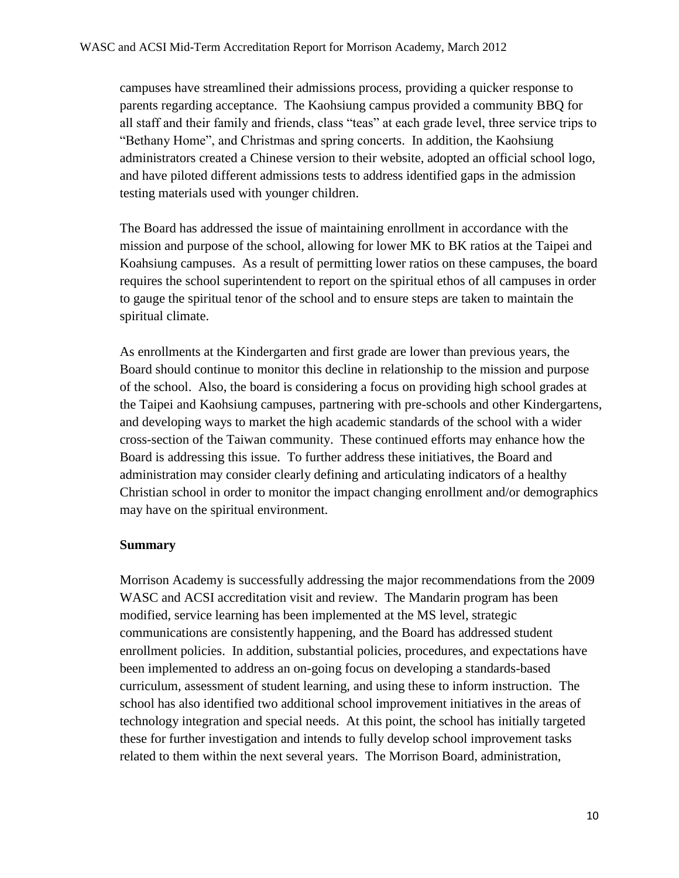campuses have streamlined their admissions process, providing a quicker response to parents regarding acceptance. The Kaohsiung campus provided a community BBQ for all staff and their family and friends, class "teas" at each grade level, three service trips to "Bethany Home", and Christmas and spring concerts. In addition, the Kaohsiung administrators created a Chinese version to their website, adopted an official school logo, and have piloted different admissions tests to address identified gaps in the admission testing materials used with younger children.

The Board has addressed the issue of maintaining enrollment in accordance with the mission and purpose of the school, allowing for lower MK to BK ratios at the Taipei and Koahsiung campuses. As a result of permitting lower ratios on these campuses, the board requires the school superintendent to report on the spiritual ethos of all campuses in order to gauge the spiritual tenor of the school and to ensure steps are taken to maintain the spiritual climate.

As enrollments at the Kindergarten and first grade are lower than previous years, the Board should continue to monitor this decline in relationship to the mission and purpose of the school. Also, the board is considering a focus on providing high school grades at the Taipei and Kaohsiung campuses, partnering with pre-schools and other Kindergartens, and developing ways to market the high academic standards of the school with a wider cross-section of the Taiwan community. These continued efforts may enhance how the Board is addressing this issue. To further address these initiatives, the Board and administration may consider clearly defining and articulating indicators of a healthy Christian school in order to monitor the impact changing enrollment and/or demographics may have on the spiritual environment.

#### **Summary**

Morrison Academy is successfully addressing the major recommendations from the 2009 WASC and ACSI accreditation visit and review. The Mandarin program has been modified, service learning has been implemented at the MS level, strategic communications are consistently happening, and the Board has addressed student enrollment policies. In addition, substantial policies, procedures, and expectations have been implemented to address an on-going focus on developing a standards-based curriculum, assessment of student learning, and using these to inform instruction. The school has also identified two additional school improvement initiatives in the areas of technology integration and special needs. At this point, the school has initially targeted these for further investigation and intends to fully develop school improvement tasks related to them within the next several years. The Morrison Board, administration,